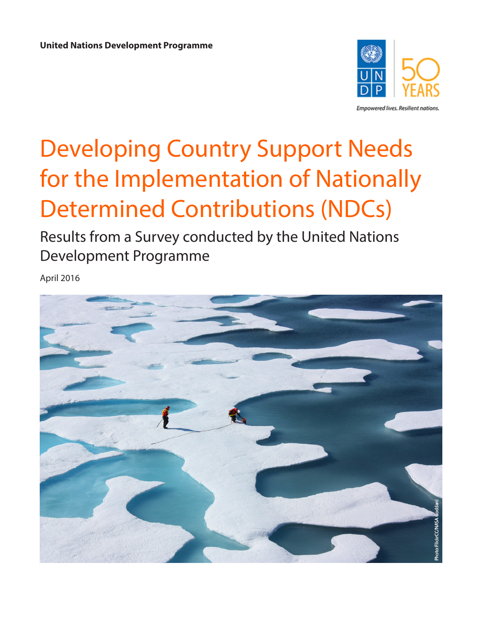

Empowered lives. Resilient nations.

# Developing Country Support Needs for the Implementation of Nationally Determined Contributions (NDCs)

Results from a Survey conducted by the United Nations Development Programme

April 2016

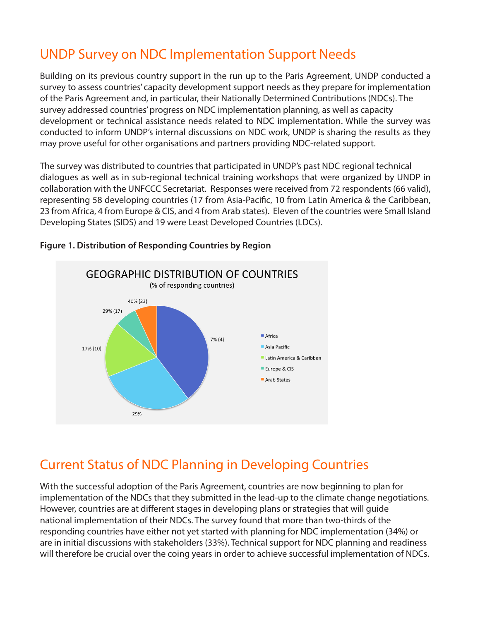## UNDP Survey on NDC Implementation Support Needs

Building on its previous country support in the run up to the Paris Agreement, UNDP conducted a survey to assess countries' capacity development support needs as they prepare for implementation of the Paris Agreement and, in particular, their Nationally Determined Contributions (NDCs). The survey addressed countries' progress on NDC implementation planning, as well as capacity development or technical assistance needs related to NDC implementation. While the survey was conducted to inform UNDP's internal discussions on NDC work, UNDP is sharing the results as they may prove useful for other organisations and partners providing NDC-related support.

The survey was distributed to countries that participated in UNDP's past NDC regional technical dialogues as well as in sub-regional technical training workshops that were organized by UNDP in collaboration with the UNFCCC Secretariat. Responses were received from 72 respondents (66 valid), representing 58 developing countries (17 from Asia-Pacifc, 10 from Latin America & the Caribbean, 23 from Africa, 4 from Europe & CIS, and 4 from Arab states). Eleven of the countries were Small Island Developing States (SIDS) and 19 were Least Developed Countries (LDCs).



#### **Figure 1. Distribution of Responding Countries by Region**

## Current Status of NDC Planning in Developing Countries

With the successful adoption of the Paris Agreement, countries are now beginning to plan for implementation of the NDCs that they submitted in the lead-up to the climate change negotiations. However, countries are at diferent stages in developing plans or strategies that will guide national implementation of their NDCs. The survey found that more than two-thirds of the responding countries have either not yet started with planning for NDC implementation (34%) or are in initial discussions with stakeholders (33%). Technical support for NDC planning and readiness will therefore be crucial over the coing years in order to achieve successful implementation of NDCs.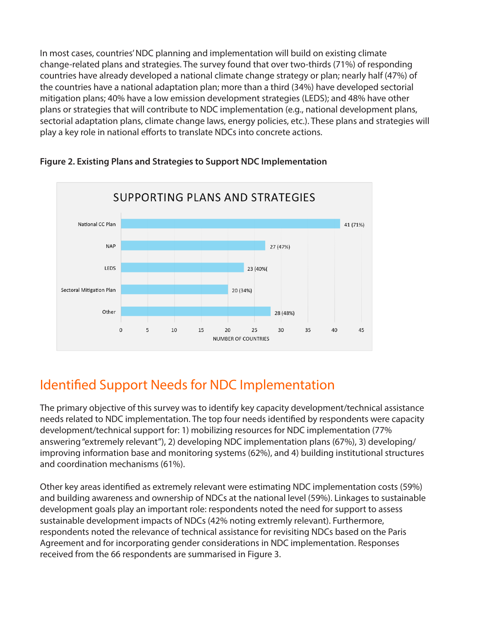In most cases, countries' NDC planning and implementation will build on existing climate change-related plans and strategies. The survey found that over two-thirds (71%) of responding countries have already developed a national climate change strategy or plan; nearly half (47%) of the countries have a national adaptation plan; more than a third (34%) have developed sectorial mitigation plans; 40% have a low emission development strategies (LEDS); and 48% have other plans or strategies that will contribute to NDC implementation (e.g., national development plans, sectorial adaptation plans, climate change laws, energy policies, etc.). These plans and strategies will play a key role in national efforts to translate NDCs into concrete actions.



**Figure 2. Existing Plans and Strategies to Support NDC Implementation**

## Identifed Support Needs for NDC Implementation

The primary objective of this survey was to identify key capacity development/technical assistance needs related to NDC implementation. The top four needs identifed by respondents were capacity development/technical support for: 1) mobilizing resources for NDC implementation (77% answering "extremely relevant"), 2) developing NDC implementation plans (67%), 3) developing/ improving information base and monitoring systems (62%), and 4) building institutional structures and coordination mechanisms (61%).

Other key areas identifed as extremely relevant were estimating NDC implementation costs (59%) and building awareness and ownership of NDCs at the national level (59%). Linkages to sustainable development goals play an important role: respondents noted the need for support to assess sustainable development impacts of NDCs (42% noting extremly relevant). Furthermore, respondents noted the relevance of technical assistance for revisiting NDCs based on the Paris Agreement and for incorporating gender considerations in NDC implementation. Responses received from the 66 respondents are summarised in Figure 3.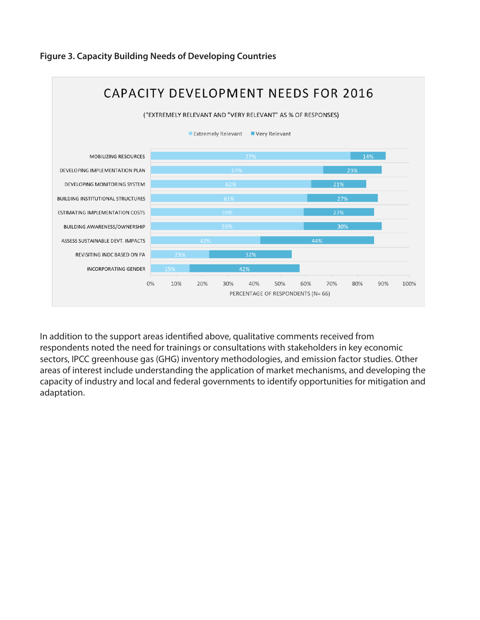

### **Figure 3. Capacity Building Needs of Developing Countries**

In addition to the support areas identifed above, qualitative comments received from respondents noted the need for trainings or consultations with stakeholders in key economic sectors, IPCC greenhouse gas (GHG) inventory methodologies, and emission factor studies. Other areas of interest include understanding the application of market mechanisms, and developing the capacity of industry and local and federal governments to identify opportunities for mitigation and adaptation.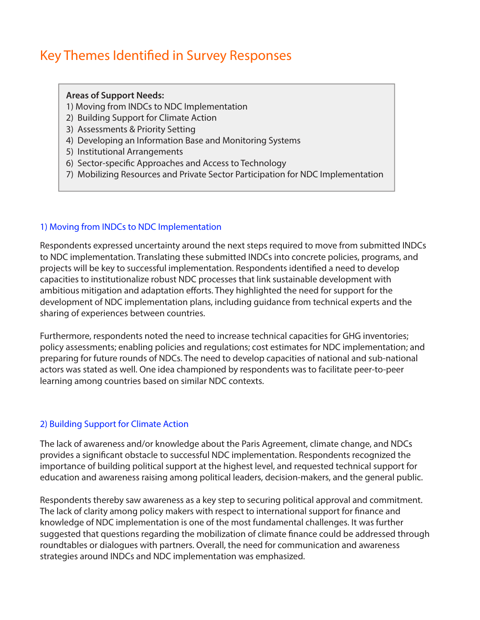## Key Themes Identifed in Survey Responses

#### **Areas of Support Needs:**

- 1) Moving from INDCs to NDC Implementation
- 2) Building Support for Climate Action
- 3) Assessments & Priority Setting
- 4) Developing an Information Base and Monitoring Systems
- 5) Institutional Arrangements
- 6) Sector-specifc Approaches and Access to Technology
- 7) Mobilizing Resources and Private Sector Participation for NDC Implementation

#### 1) Moving from INDCs to NDC Implementation

Respondents expressed uncertainty around the next steps required to move from submitted INDCs to NDC implementation. Translating these submitted INDCs into concrete policies, programs, and projects will be key to successful implementation. Respondents identifed a need to develop capacities to institutionalize robust NDC processes that link sustainable development with ambitious mitigation and adaptation efforts. They highlighted the need for support for the development of NDC implementation plans, including guidance from technical experts and the sharing of experiences between countries.

Furthermore, respondents noted the need to increase technical capacities for GHG inventories; policy assessments; enabling policies and regulations; cost estimates for NDC implementation; and preparing for future rounds of NDCs. The need to develop capacities of national and sub-national actors was stated as well. One idea championed by respondents was to facilitate peer-to-peer learning among countries based on similar NDC contexts.

#### 2) Building Support for Climate Action

The lack of awareness and/or knowledge about the Paris Agreement, climate change, and NDCs provides a signifcant obstacle to successful NDC implementation. Respondents recognized the importance of building political support at the highest level, and requested technical support for education and awareness raising among political leaders, decision-makers, and the general public.

Respondents thereby saw awareness as a key step to securing political approval and commitment. The lack of clarity among policy makers with respect to international support for fnance and knowledge of NDC implementation is one of the most fundamental challenges. It was further suggested that questions regarding the mobilization of climate fnance could be addressed through roundtables or dialogues with partners. Overall, the need for communication and awareness strategies around INDCs and NDC implementation was emphasized.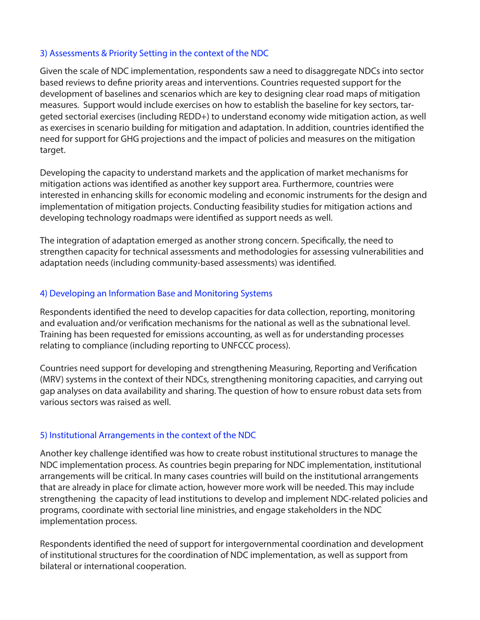#### 3) Assessments & Priority Setting in the context of the NDC

Given the scale of NDC implementation, respondents saw a need to disaggregate NDCs into sector based reviews to defne priority areas and interventions. Countries requested support for the development of baselines and scenarios which are key to designing clear road maps of mitigation measures. Support would include exercises on how to establish the baseline for key sectors, targeted sectorial exercises (including REDD+) to understand economy wide mitigation action, as well as exercises in scenario building for mitigation and adaptation. In addition, countries identifed the need for support for GHG projections and the impact of policies and measures on the mitigation target.

Developing the capacity to understand markets and the application of market mechanisms for mitigation actions was identifed as another key support area. Furthermore, countries were interested in enhancing skills for economic modeling and economic instruments for the design and implementation of mitigation projects. Conducting feasibility studies for mitigation actions and developing technology roadmaps were identifed as support needs as well.

The integration of adaptation emerged as another strong concern. Specifcally, the need to strengthen capacity for technical assessments and methodologies for assessing vulnerabilities and adaptation needs (including community-based assessments) was identifed.

#### 4) Developing an Information Base and Monitoring Systems

Respondents identifed the need to develop capacities for data collection, reporting, monitoring and evaluation and/or verifcation mechanisms for the national as well as the subnational level. Training has been requested for emissions accounting, as well as for understanding processes relating to compliance (including reporting to UNFCCC process).

Countries need support for developing and strengthening Measuring, Reporting and Verifcation (MRV) systems in the context of their NDCs, strengthening monitoring capacities, and carrying out gap analyses on data availability and sharing. The question of how to ensure robust data sets from various sectors was raised as well.

#### 5) Institutional Arrangements in the context of the NDC

Another key challenge identifed was how to create robust institutional structures to manage the NDC implementation process. As countries begin preparing for NDC implementation, institutional arrangements will be critical. In many cases countries will build on the institutional arrangements that are already in place for climate action, however more work will be needed. This may include strengthening the capacity of lead institutions to develop and implement NDC-related policies and programs, coordinate with sectorial line ministries, and engage stakeholders in the NDC implementation process.

Respondents identifed the need of support for intergovernmental coordination and development of institutional structures for the coordination of NDC implementation, as well as support from bilateral or international cooperation.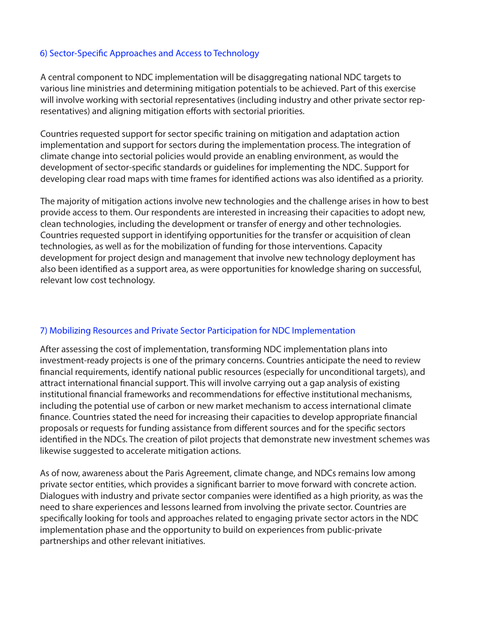#### 6) Sector-Specifc Approaches and Access to Technology

A central component to NDC implementation will be disaggregating national NDC targets to various line ministries and determining mitigation potentials to be achieved. Part of this exercise will involve working with sectorial representatives (including industry and other private sector representatives) and aligning mitigation efforts with sectorial priorities.

Countries requested support for sector specifc training on mitigation and adaptation action implementation and support for sectors during the implementation process. The integration of climate change into sectorial policies would provide an enabling environment, as would the development of sector-specifc standards or guidelines for implementing the NDC. Support for developing clear road maps with time frames for identifed actions was also identifed as a priority.

The majority of mitigation actions involve new technologies and the challenge arises in how to best provide access to them. Our respondents are interested in increasing their capacities to adopt new, clean technologies, including the development or transfer of energy and other technologies. Countries requested support in identifying opportunities for the transfer or acquisition of clean technologies, as well as for the mobilization of funding for those interventions. Capacity development for project design and management that involve new technology deployment has also been identifed as a support area, as were opportunities for knowledge sharing on successful, relevant low cost technology.

#### 7) Mobilizing Resources and Private Sector Participation for NDC Implementation

After assessing the cost of implementation, transforming NDC implementation plans into investment-ready projects is one of the primary concerns. Countries anticipate the need to review fnancial requirements, identify national public resources (especially for unconditional targets), and attract international fnancial support. This will involve carrying out a gap analysis of existing institutional fnancial frameworks and recommendations for efective institutional mechanisms, including the potential use of carbon or new market mechanism to access international climate fnance. Countries stated the need for increasing their capacities to develop appropriate fnancial proposals or requests for funding assistance from diferent sources and for the specifc sectors identifed in the NDCs. The creation of pilot projects that demonstrate new investment schemes was likewise suggested to accelerate mitigation actions.

As of now, awareness about the Paris Agreement, climate change, and NDCs remains low among private sector entities, which provides a signifcant barrier to move forward with concrete action. Dialogues with industry and private sector companies were identifed as a high priority, as was the need to share experiences and lessons learned from involving the private sector. Countries are specifcally looking for tools and approaches related to engaging private sector actors in the NDC implementation phase and the opportunity to build on experiences from public-private partnerships and other relevant initiatives.